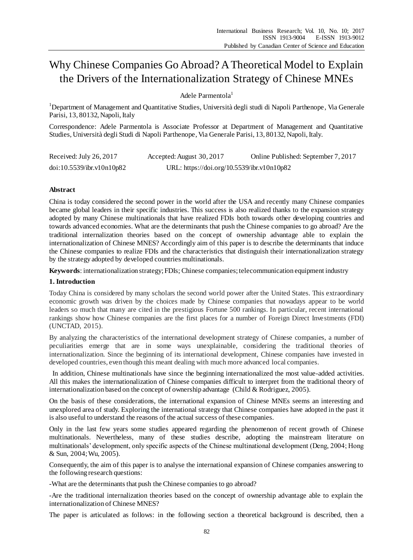# Why Chinese Companies Go Abroad? A Theoretical Model to Explain the Drivers of the Internationalization Strategy of Chinese MNEs

Adele Parmentola<sup>1</sup>

<sup>1</sup>Department of Management and Quantitative Studies, Università degli studi di Napoli Parthenope, Via Generale Parisi, 13, 80132, Napoli, Italy

Correspondence: Adele Parmentola is Associate Professor at Department of Management and Quantitative Studies, Università degli Studi di Napoli Parthenope, Via Generale Parisi, 13, 80132, Napoli, Italy.

| Received: July 26, 2017   | Accepted: August 30, 2017                  | Online Published: September 7, 2017 |
|---------------------------|--------------------------------------------|-------------------------------------|
| doi:10.5539/ibr.v10n10p82 | URL: https://doi.org/10.5539/ibr.v10n10p82 |                                     |

# **Abstract**

China is today considered the second power in the world after the USA and recently many Chinese companies became global leaders in their specific industries. This success is also realized thanks to the expansion strategy adopted by many Chinese multinationals that have realized FDIs both towards other developing countries and towards advanced economies. What are the determinants that push the Chinese companies to go abroad? Are the traditional internalization theories based on the concept of ownership advantage able to explain the internationalization of Chinese MNES? Accordingly aim of this paper is to describe the determinants that induce the Chinese companies to realize FDIs and the characteristics that distinguish their internationalization strategy by the strategy adopted by developed countries multinationals.

**Keywords**: internationalization strategy; FDIs; Chinese companies; telecommunication equipment industry

## **1. Introduction**

Today China is considered by many scholars the second world power after the United States. This extraordinary economic growth was driven by the choices made by Chinese companies that nowadays appear to be world leaders so much that many are cited in the prestigious Fortune 500 rankings. In particular, recent international rankings show how Chinese companies are the first places for a number of Foreign Direct Investments (FDI) (UNCTAD, 2015).

By analyzing the characteristics of the international development strategy of Chinese companies, a number of peculiarities emerge that are in some ways unexplainable, considering the traditional theories of internationalization. Since the beginning of its international development, Chinese companies have invested in developed countries, even though this meant dealing with much more advanced local companies.

In addition, Chinese multinationals have since the beginning internationalized the most value-added activities. All this makes the internationalization of Chinese companies difficult to interpret from the traditional theory of internationalization based on the concept of ownership advantage (Child & Rodriguez, 2005).

On the basis of these considerations, the international expansion of Chinese MNEs seems an interesting and unexplored area of study. Exploring the international strategy that Chinese companies have adopted in the past it is also useful to understand the reasons of the actual success of these companies.

Only in the last few years some studies appeared regarding the phenomenon of recent growth of Chinese multinationals. Nevertheless, many of these studies describe, adopting the mainstream literature on multinationals' development, only specific aspects of the Chinese multinational development (Deng, 2004; Hong & Sun, 2004; Wu, 2005).

Consequently, the aim of this paper is to analyse the international expansion of Chinese companies answering to the following research questions:

-What are the determinants that push the Chinese companies to go abroad?

-Are the traditional internalization theories based on the concept of ownership advantage able to explain the internationalization of Chinese MNES?

The paper is articulated as follows: in the following section a theoretical background is described, then a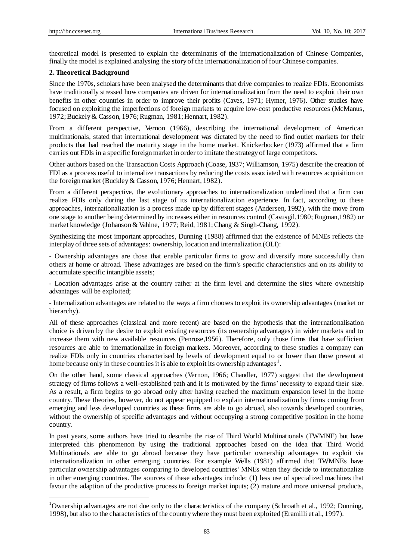1

theoretical model is presented to explain the determinants of the internationalization of Chinese Companies, finally the model is explained analysing the story of the internationalization of four Chinese companies.

# **2. Theoretical Background**

Since the 1970s, scholars have been analysed the determinants that drive companies to realize FDIs. Economists have traditionally stressed how companies are driven for internationalization from the need to exploit their own benefits in other countries in order to improve their profits (Caves, 1971; Hymer, 1976). Other studies have focused on exploiting the imperfections of foreign markets to acquire low-cost productive resources (McManus, 1972; Buckely & Casson, 1976; Rugman, 1981; Hennart, 1982).

From a different perspective, Vernon (1966), describing the international development of American multinationals, stated that international development was dictated by the need to find outlet markets for their products that had reached the maturity stage in the home market. Knickerbocker (1973) affirmed that a firm carries out FDIs in a specific foreign market in order to imitate the strategy of large competitors.

Other authors based on the Transaction Costs Approach (Coase, 1937; Williamson, 1975) describe the creation of FDI as a process useful to internalize transactions by reducing the costs associated with resources acquisition on the foreign market (Buckley & Casson, 1976; Hennart, 1982).

From a different perspective, the evolutionary approaches to internationalization underlined that a firm can realize FDIs only during the last stage of its internationalization experience. In fact, according to these approaches, internationalization is a process made up by different stages (Andersen, 1992), with the move from one stage to another being determined by increases either in resources control (Cavusgil,1980; Rugman,1982) or market knowledge (Johanson & Vahlne, 1977; Reid, 1981;Chang & Singh-Chang, 1992).

Synthesizing the most important approaches, Dunning (1988) affirmed that the existence of MNEs reflects the interplay of three sets of advantages: ownership, location and internalization (OLI):

- Ownership advantages are those that enable particular firms to grow and diversify more successfully than others at home or abroad. These advantages are based on the firm's specific characteristics and on its ability to accumulate specific intangible assets;

- Location advantages arise at the country rather at the firm level and determine the sites where ownership advantages will be exploited;

- Internalization advantages are related to the ways a firm chooses to exploit its ownership advantages (market or hierarchy).

All of these approaches (classical and more recent) are based on the hypothesis that the internationalisation choice is driven by the desire to exploit existing resources (its ownership advantages) in wider markets and to increase them with new available resources (Penrose,1956). Therefore, only those firms that have sufficient resources are able to internationalize in foreign markets. Moreover, according to these studies a company can realize FDIs only in countries characterised by levels of development equal to or lower than those present at home because only in these countries it is able to exploit its ownership advantages<sup>1</sup>.

On the other hand, some classical approaches (Vernon, 1966; Chandler, 1977) suggest that the development strategy of firms follows a well-established path and it is motivated by the firms' necessity to expand their size. As a result, a firm begins to go abroad only after having reached the maximum expansion level in the home country. These theories, however, do not appear equipped to explain internationalization by firms coming from emerging and less developed countries as these firms are able to go abroad, also towards developed countries, without the ownership of specific advantages and without occupying a strong competitive position in the home country.

In past years, some authors have tried to describe the rise of Third World Multinationals (TWMNE) but have interpreted this phenomenon by using the traditional approaches based on the idea that Third World Multinationals are able to go abroad because they have particular ownership advantages to exploit via internationalization in other emerging countries. For example Wells (1981) affirmed that TWMNEs have particular ownership advantages comparing to developed countries' MNEs when they decide to internationalize in other emerging countries. The sources of these advantages include: (1) less use of specialized machines that favour the adaption of the productive process to foreign market inputs; (2) mature and more universal products,

<sup>&</sup>lt;sup>1</sup>Ownership advantages are not due only to the characteristics of the company (Schroath et al., 1992; Dunning, 1998), but also to the characteristics of the country where they must been exploited (Eramilli et al., 1997).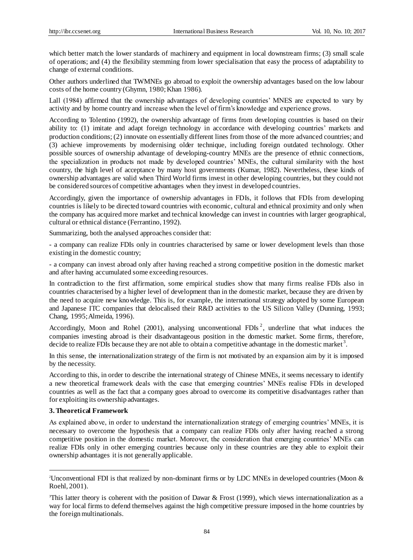which better match the lower standards of machinery and equipment in local downstream firms; (3) small scale of operations; and (4) the flexibility stemming from lower specialisation that easy the process of adaptability to change of external conditions.

Other authors underlined that TWMNEs go abroad to exploit the ownership advantages based on the low labour costs of the home country (Ghymn, 1980; Khan 1986).

Lall (1984) affirmed that the ownership advantages of developing countries' MNES are expected to vary by activity and by home country and increase when the level of firm's knowledge and experience grows.

According to Tolentino (1992), the ownership advantage of firms from developing countries is based on their ability to: (1) imitate and adapt foreign technology in accordance with developing countries' markets and production conditions; (2) innovate on essentially different lines from those of the more advanced countries; and (3) achieve improvements by modernising older technique, including foreign outdated technology. Other possible sources of ownership advantage of developing-country MNEs are the presence of ethnic connections, the specialization in products not made by developed countries' MNEs, the cultural similarity with the host country, the high level of acceptance by many host governments (Kumar, 1982). Nevertheless, these kinds of ownership advantages are valid when Third World firms invest in other developing countries, but they could not be considered sources of competitive advantages when they invest in developed countries.

Accordingly, given the importance of ownership advantages in FDIs, it follows that FDIs from developing countries is likely to be directed toward countries with economic, cultural and ethnical proximity and only when the company has acquired more market and technical knowledge can invest in countries with larger geographical, cultural or ethnical distance (Ferrantino, 1992).

Summarizing, both the analysed approaches consider that:

- a company can realize FDIs only in countries characterised by same or lower development levels than those existing in the domestic country;

- a company can invest abroad only after having reached a strong competitive position in the domestic market and after having accumulated some exceeding resources.

In contradiction to the first affirmation, some empirical studies show that many firms realise FDIs also in countries characterised by a higher level of development than in the domestic market, because they are driven by the need to acquire new knowledge. This is, for example, the international strategy adopted by some European and Japanese ITC companies that delocalised their R&D activities to the US Silicon Valley (Dunning, 1993; Chang, 1995; Almeida, 1996).

Accordingly, Moon and Rohel (2001), analysing unconventional FDIs<sup>2</sup>, underline that what induces the companies investing abroad is their disadvantageous position in the domestic market. Some firms, therefore, decide to realize FDIs because they are not able to obtain a competitive advantage in the domestic market<sup>3</sup>.

In this sense, the internationalization strategy of the firm is not motivated by an expansion aim by it is imposed by the necessity.

According to this, in order to describe the international strategy of Chinese MNEs, it seems necessary to identify a new theoretical framework deals with the case that emerging countries' MNEs realise FDIs in developed countries as well as the fact that a company goes abroad to overcome its competitive disadvantages rather than for exploiting its ownership advantages.

#### **3.Theoretical Framework**

1

As explained above, in order to understand the internationalization strategy of emerging countries' MNEs, it is necessary to overcome the hypothesis that a company can realize FDIs only after having reached a strong competitive position in the domestic market. Moreover, the consideration that emerging countries' MNEs can realize FDIs only in other emerging countries because only in these countries are they able to exploit their ownership advantages it is not generally applicable.

<sup>2</sup>Unconventional FDI is that realized by non-dominant firms or by LDC MNEs in developed countries (Moon & Roehl, 2001).

<sup>3</sup>This latter theory is coherent with the position of Dawar & Frost (1999), which views internationalization as a way for local firms to defend themselves against the high competitive pressure imposed in the home countries by the foreign multinationals.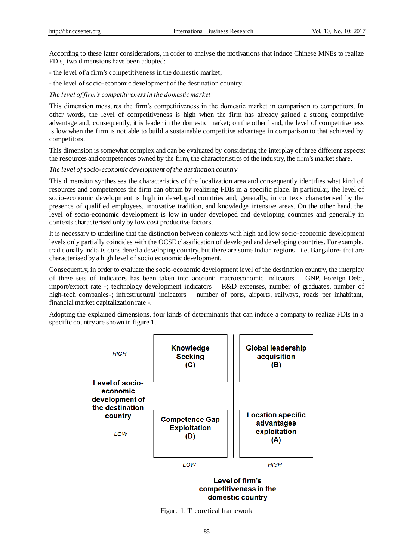According to these latter considerations, in order to analyse the motivations that induce Chinese MNEs to realize FDIs, two dimensions have been adopted:

- the level of a firm's competitiveness in the domestic market;
- the level of socio-economic development of the destination country.

## *The level of firm's competitiveness in the domestic market*

This dimension measures the firm's competitiveness in the domestic market in comparison to competitors. In other words, the level of competitiveness is high when the firm has already gained a strong competitive advantage and, consequently, it is leader in the domestic market; on the other hand, the level of competitiveness is low when the firm is not able to build a sustainable competitive advantage in comparison to that achieved by competitors.

This dimension is somewhat complex and can be evaluated by considering the interplay of three different aspects: the resources and competences owned by the firm, the characteristics of the industry, the firm's market share.

#### *The level of socio-economic development of the destination country*

This dimension synthesises the characteristics of the localization area and consequently identifies what kind of resources and competences the firm can obtain by realizing FDIs in a specific place. In particular, the level of socio-economic development is high in developed countries and, generally, in contexts characterised by the presence of qualified employees, innovative tradition, and knowledge intensive areas. On the other hand, the level of socio-economic development is low in under developed and developing countries and generally in contexts characterised only by low cost productive factors.

It is necessary to underline that the distinction between contexts with high and low socio-economic development levels only partially coincides with the OCSE classification of developed and developing countries. For example, traditionally India is considered a developing country, but there are some Indian regions –i.e. Bangalore- that are characterised by a high level of socio economic development.

Consequently, in order to evaluate the socio-economic development level of the destination country, the interplay of three sets of indicators has been taken into account: macroeconomic indicators – GNP, Foreign Debt, import/export rate -; technology development indicators – R&D expenses, number of graduates, number of high-tech companies-; infrastructural indicators – number of ports, airports, railways, roads per inhabitant, financial market capitalization rate -.

Adopting the explained dimensions, four kinds of determinants that can induce a company to realize FDIs in a specific country are shown in figure 1.



Level of firm's competitiveness in the domestic country

Figure 1. Theoretical framework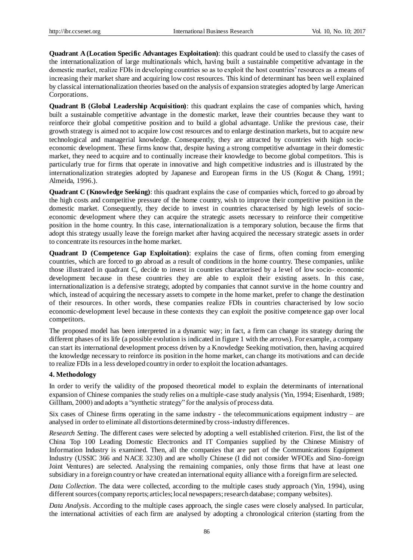**Quadrant A (Location Specific Advantages Exploitation)**: this quadrant could be used to classify the cases of the internationalization of large multinationals which, having built a sustainable competitive advantage in the domestic market, realize FDIs in developing countries so as to exploit the host countries' resources as a means of increasing their market share and acquiring low cost resources. This kind of determinant has been well explained by classical internationalization theories based on the analysis of expansion strategies adopted by large American Corporations.

**Quadrant B (Global Leadership Acquisition)**: this quadrant explains the case of companies which, having built a sustainable competitive advantage in the domestic market, leave their countries because they want to reinforce their global competitive position and to build a global advantage. Unlike the previous case, their growth strategy is aimed not to acquire low cost resources and to enlarge destination markets, but to acquire new technological and managerial knowledge. Consequently, they are attracted by countries with high socioeconomic development. These firms know that, despite having a strong competitive advantage in their domestic market, they need to acquire and to continually increase their knowledge to become global competitors. This is particularly true for firms that operate in innovative and high competitive industries and is illustrated by the internationalization strategies adopted by Japanese and European firms in the US (Kogut & Chang, 1991; Almeida, 1996.).

**Quadrant C (Knowledge Seeking)**: this quadrant explains the case of companies which, forced to go abroad by the high costs and competitive pressure of the home country, wish to improve their competitive position in the domestic market. Consequently, they decide to invest in countries characterised by high levels of socioeconomic development where they can acquire the strategic assets necessary to reinforce their competitive position in the home country. In this case, internationalization is a temporary solution, because the firms that adopt this strategy usually leave the foreign market after having acquired the necessary strategic assets in order to concentrate its resources in the home market.

**Quadrant D (Competence Gap Exploitation)**: explains the case of firms, often coming from emerging countries, which are forced to go abroad as a result of conditions in the home country. These companies, unlike those illustrated in quadrant C, decide to invest in countries characterised by a level of low socio- economic development because in these countries they are able to exploit their existing assets. In this case, internationalization is a defensive strategy, adopted by companies that cannot survive in the home country and which, instead of acquiring the necessary assets to compete in the home market, prefer to change the destination of their resources. In other words, these companies realize FDIs in countries characterised by low socio economic-development level because in these contexts they can exploit the positive competence gap over local competitors.

The proposed model has been interpreted in a dynamic way; in fact, a firm can change its strategy during the different phases of its life (a possible evolution is indicated in figure 1 with the arrows). For example, a company can start its international development process driven by a Knowledge Seeking motivation, then, having acquired the knowledge necessary to reinforce its position in the home market, can change its motivations and can decide to realize FDIs in a less developed country in order to exploit the location advantages.

## **4. Methodology**

In order to verify the validity of the proposed theoretical model to explain the determinants of international expansion of Chinese companies the study relies on a multiple-case study analysis (Yin, 1994; Eisenhardt, 1989; Gillham, 2000) and adopts a "synthetic strategy" for the analysis of process data.

Six cases of Chinese firms operating in the same industry - the telecommunications equipment industry – are analysed in order to eliminate all distortions determined by cross-industry differences.

*Research Setting*. The different cases were selected by adopting a well established criterion. First, the list of the China Top 100 Leading Domestic Electronics and IT Companies supplied by the Chinese Ministry of Information Industry is examined. Then, all the companies that are part of the Communications Equipment Industry (USSIC 366 and NACE 3230) and are wholly Chinese (I did not consider WFOEs and Sino-foreign Joint Ventures) are selected. Analysing the remaining companies, only those firms that have at least one subsidiary in a foreign country or have created an international equity alliance with a foreign firm are selected.

*Data Collection*. The data were collected, according to the multiple cases study approach (Yin, 1994), using different sources (company reports; articles; local newspapers; research database; company websites).

*Data Analysis*. According to the multiple cases approach, the single cases were closely analysed. In particular, the international activities of each firm are analysed by adopting a chronological criterion (starting from the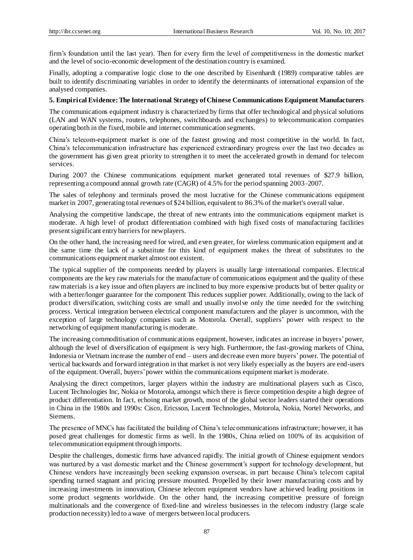firm's foundation until the last year). Then for every firm the level of competitiveness in the domestic market and the level of socio-economic development of the destination country is examined.

Finally, adopting a comparative logic close to the one described by Eisenhardt (1989) comparative tables are built to identify discriminating variables in order to identify the determinants of international expansion of the analysed companies.

#### **5. Empirical Evidence: The International Strategy of Chinese Communications Equipment Manufacturers**

The communications equipment industry is characterized by firms that offer technological and physical solutions (LAN and WAN systems, routers, telephones, switchboards and exchanges) to telecommunication companies operating both in the fixed, mobile and internet communication segments.

China's telecom-equipment market is one of the fastest growing and most competitive in the world. In fact, China's telecommunication infrastructure has experienced extraordinary progress over the last two decades as the government has given great priority to strengthen it to meet the accelerated growth in demand for telecom services.

During 2007 the Chinese communications equipment market generated total revenues of \$27.9 billion, representing a compound annual growth rate (CAGR) of 4.5% for the period spanning 2003-2007.

The sales of telephony and terminals proved the most lucrative for the Chinese communications equipment market in 2007, generating total revenues of \$24 billion, equivalent to 86.3% of the market's overall value.

Analysing the competitive landscape, the threat of new entrants into the communications equipment market is moderate. A high level of product differentiation combined with high fixed costs of manufacturing facilities present significant entry barriers for new players.

On the other hand, the increasing need for wired, and even greater, for wireless communication equipment and at the same time the lack of a substitute for this kind of equipment makes the threat of substitutes to the communications equipment market almost not existent.

The typical supplier of the components needed by players is usually large international companies. Electrical components are the key raw materials for the manufacture of communications equipment and the quality of these raw materials is a key issue and often players are inclined to buy more expensive products but of better quality or with a better/longer guarantee for the component This reduces supplier power. Additionally, owing to the lack of product diversification, switching costs are small and usually involve only the time needed for the switching process. Vertical integration between electrical component manufacturers and the player is uncommon, with the exception of large technology companies such as Motorola. Overall, suppliers' power with respect to the networking of equipment manufacturing is moderate.

The increasing commoditisation of communications equipment, however, indicates an increase in buyers' power, although the level of diversification of equipment is very high. Furthermore, the fast-growing markets of China, Indonesia or Vietnam increase the number of end – users and decrease even more buyers' power. The potential of vertical backwards and forward integration in that market is not very likely especially as the buyers are end-users of the equipment. Overall, buyers'power within the communications equipment market is moderate.

Analysing the direct competitors, larger players within the industry are multinational players such as Cisco, Lucent Technologies Inc, Nokia or Motorola, amongst which there is fierce competition despite a high degree of product differentiation. In fact, echoing market growth, most of the global sector leaders started their operations in China in the 1980s and 1990s: Cisco, Ericsson, Lucent Technologies, Motorola, Nokia, Nortel Networks, and Siemens.

The presence of MNCs has facilitated the building of China's telecommunications infrastructure; however, it has posed great challenges for domestic firms as well. In the 1980s, China relied on 100% of its acquisition of telecommunication equipment through imports.

Despite the challenges, domestic firms have advanced rapidly. The initial growth of Chinese equipment vendors was nurtured by a vast domestic market and the Chinese government's support for technology development, but Chinese vendors have increasingly been seeking expansion overseas, in part because China's telecom capital spending turned stagnant and pricing pressure mounted. Propelled by their lower manufacturing costs and by increasing investments in innovation, Chinese telecom equipment vendors have achieved leading positions in some product segments worldwide. On the other hand, the increasing competitive pressure of foreign multinationals and the convergence of fixed-line and wireless businesses in the telecom industry (large scale production necessity) led to a wave of mergers between local producers.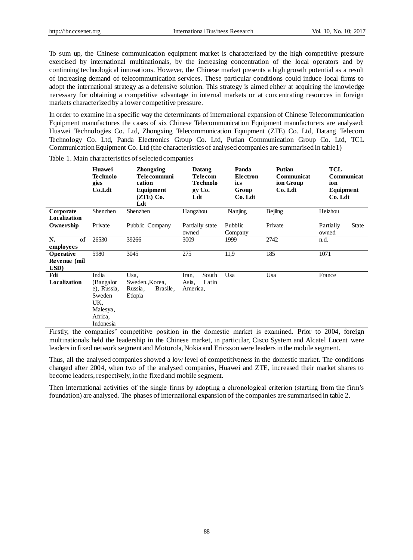To sum up, the Chinese communication equipment market is characterized by the high competitive pressure exercised by international multinationals, by the increasing concentration of the local operators and by continuing technological innovations. However, the Chinese market presents a high growth potential as a result of increasing demand of telecommunication services. These particular conditions could induce local firms to adopt the international strategy as a defensive solution. This strategy is aimed either at acquiring the knowledge necessary for obtaining a competitive advantage in internal markets or at concentrating resources in foreign markets characterized by a lower competitive pressure.

In order to examine in a specific way the determinants of international expansion of Chinese Telecommunication Equipment manufactures the cases of six Chinese Telecommunication Equipment manufacturers are analysed: Huawei Technologies Co. Ltd, Zhongxing Telecommunication Equipment (ZTE) Co. Ltd, Datang Telecom Technology Co. Ltd, Panda Electronics Group Co. Ltd, Putian Communication Group Co. Ltd, TCL Communication Equipment Co. Ltd (the characteristics of analysed companies are summarised in table1)

|                                   | Huawei<br><b>Technolo</b><br>gies<br>Co.Ldt                                            | <b>Zhongxing</b><br>Telecommuni<br>cation<br><b>Equipment</b><br>$(ZTE)$ Co.<br>Ldt | <b>Datang</b><br><b>Telecom</b><br><b>Technolo</b><br>gy Co.<br>Ldt | Panda<br>Electron<br>ics<br>Group<br>Co. Ldt | Putian<br>Communicat<br>ion Group<br>Co. Ldt | TCL<br>Communicat<br>ion<br>Equipment<br>Co. Ldt |
|-----------------------------------|----------------------------------------------------------------------------------------|-------------------------------------------------------------------------------------|---------------------------------------------------------------------|----------------------------------------------|----------------------------------------------|--------------------------------------------------|
| Corporate<br>Localization         | Shenzhen                                                                               | Shenzhen                                                                            | Hangzhou                                                            | Nanjing                                      | Bejiing                                      | Heizhou                                          |
| Ownership                         | Private                                                                                | Pubblic Company                                                                     | Partially state<br>owned                                            | Pubblic<br>Company                           | Private                                      | Partially<br><b>State</b><br>owned               |
| of<br>N.<br>employees             | 26530                                                                                  | 39266                                                                               | 3009                                                                | 1999                                         | 2742                                         | n.d.                                             |
| Operative<br>Revenue (mil<br>USD) | 5980                                                                                   | 3045                                                                                | 275                                                                 | 11,9                                         | 185                                          | 1071                                             |
| Fdi<br>Localization               | India<br>(Bangalor<br>e), Russia,<br>Sweden<br>UK.<br>Malesya,<br>Africa,<br>Indonesia | Usa.<br>Sweden., Korea,<br>Russia,<br>Brasile,<br>Etiopia                           | Iran,<br>South<br>Asia.<br>Latin<br>America,                        | Usa                                          | Usa                                          | France                                           |

Table 1. Main characteristics of selected companies

Firstly, the companies' competitive position in the domestic market is examined. Prior to 2004, foreign multinationals held the leadership in the Chinese market, in particular, Cisco System and Alcatel Lucent were leaders in fixed network segment and Motorola, Nokia and Ericsson were leaders in the mobile segment.

Thus, all the analysed companies showed a low level of competitiveness in the domestic market. The conditions changed after 2004, when two of the analysed companies, Huawei and ZTE, increased their market shares to become leaders, respectively, in the fixed and mobile segment.

Then international activities of the single firms by adopting a chronological criterion (starting from the firm's foundation) are analysed. The phases of international expansion of the companies are summarised in table 2.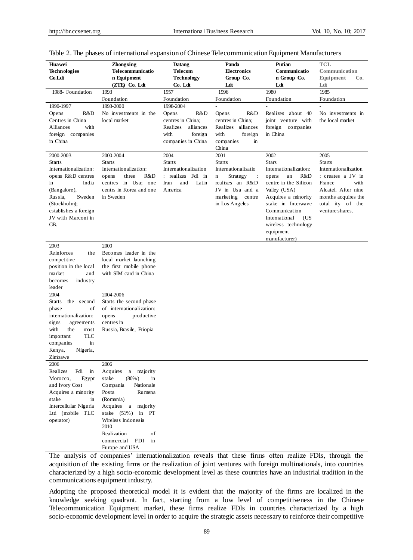| Huawei                  | <b>Zhongxing</b>          | Datang                | Panda                         | Putian                     | <b>TCL</b>              |
|-------------------------|---------------------------|-----------------------|-------------------------------|----------------------------|-------------------------|
| <b>Technologies</b>     | Telecommunicatio          | <b>Telecom</b>        | <b>Electronics</b>            | Communicatio               | Communication           |
| Co.Ldt                  | n Equipment               | <b>Technology</b>     | Group Co.                     | n Group Co.                | <b>Equipment</b><br>Co. |
|                         | (ZTE) Co. Ldt             | Co. Ldt               | Ldt                           | Ldt                        | Ldt                     |
| 1988- Foundation        | 1993                      | 1957                  | 1996                          | 1980                       | 1985                    |
|                         | Foundation                | Foundation            | Foundation                    | Foundation                 | Foundation              |
| 1990-1997               | 1993-2000                 | 1998-2004             |                               |                            |                         |
| R&D<br>Opens            | No investments in the     | R&D<br>Opens          | R&D<br>Opens                  | Realizes about 40          | No investments in       |
| Centres in China        | local market              | centres in China;     | centres in China;             | joint venture with         | the local market        |
| with<br>Alliances       |                           | alliances<br>Realizes | Realizes alliances            | foreign companies          |                         |
| foreign companies       |                           | with<br>foreign       | with<br>foreign               | in China                   |                         |
| in China                |                           | companies in China    | companies<br>in               |                            |                         |
|                         |                           |                       | China                         |                            |                         |
| 2000-2003               | 2000-2004                 | 2004                  | 2001                          | 2002                       | 2005                    |
| <b>Starts</b>           | <b>Starts</b>             | <b>Starts</b>         | <b>Starts</b>                 | <b>Stars</b>               | <b>Starts</b>           |
| Internationalization:   | Internationalization:     | Internationalization  | Internationalizatio           | Internationalization:      | Internationalization    |
| opens R&D centres       | R&D<br>opens<br>three     | : realizes Fdi in     | $\therefore$<br>n<br>Strategy | R&D<br>opens<br>an         | : creates a JV in       |
| India<br>in             | centres in Usa; one       | Iran<br>and<br>Latin  | realizes an R&D               | centre in the Silicon      | France<br>with          |
| (Bangalore),            | centrs in Korea and one   | America               | JV in Usa and a               | Valley (USA)               | Alcatel. After nine     |
| Sweden<br>Russia.       | in Sweden                 |                       | marketing centre              | Acquires a minority        | months acquires the     |
| (Stockholm);            |                           |                       | in Los Angeles                | stake in Interwave         | total ity of the        |
| establishes a foreign   |                           |                       |                               | Communication              | venture shares.         |
| JV with Marconi in      |                           |                       |                               | International<br>(US       |                         |
| GB.                     |                           |                       |                               | wireless technology        |                         |
|                         |                           |                       |                               | equipment<br>manufacturer) |                         |
| 2003                    | 2000                      |                       |                               |                            |                         |
| Re inforces<br>the      | Becomes leader in the     |                       |                               |                            |                         |
| competitive             | local market launching    |                       |                               |                            |                         |
| position in the local   | the first mobile phone    |                       |                               |                            |                         |
| and<br>market           | with SIM card in China    |                       |                               |                            |                         |
| becomes<br>industry     |                           |                       |                               |                            |                         |
| leader                  |                           |                       |                               |                            |                         |
| 2004                    | 2004-2006                 |                       |                               |                            |                         |
| Starts<br>the second    | Starts the second phase   |                       |                               |                            |                         |
| phase<br>of             | of internationalization:  |                       |                               |                            |                         |
| internationalization:   | opens<br>productive       |                       |                               |                            |                         |
| signs<br>agreements     | centres in                |                       |                               |                            |                         |
| with<br>the<br>most     | Russia, Brasile, Etiopia  |                       |                               |                            |                         |
| <b>TLC</b><br>important |                           |                       |                               |                            |                         |
| companies<br>in         |                           |                       |                               |                            |                         |
| Kenya,<br>Nigeria,      |                           |                       |                               |                            |                         |
| Zimbawe<br>2006         | 2006                      |                       |                               |                            |                         |
| Realizes<br>Fdi<br>in   | Acquires<br>majority<br>a |                       |                               |                            |                         |
| Morocco,<br>Egypt       | stake<br>$(80\%)$<br>in   |                       |                               |                            |                         |
| and Ivory Cost          | Nationale<br>Compania     |                       |                               |                            |                         |
| Acquires a minority     | Posta<br>Rumena           |                       |                               |                            |                         |
| stake<br>in             | (Romania)                 |                       |                               |                            |                         |
| Intercellular Nigeria   | Acquires a<br>majority    |                       |                               |                            |                         |
| Ltd (mobile TLC         | stake (51%) in PT         |                       |                               |                            |                         |
| operator)               | Wireless Indonesia        |                       |                               |                            |                         |
|                         | 2010                      |                       |                               |                            |                         |
|                         | Realization<br>of         |                       |                               |                            |                         |
|                         | commercial<br>FDI<br>in   |                       |                               |                            |                         |
|                         | Europe and USA            |                       |                               |                            |                         |

## Table 2. The phases of international expansion of Chinese Telecommunication Equipment Manufacturers

The analysis of companies' internationalization reveals that these firms often realize FDIs, through the acquisition of the existing firms or the realization of joint ventures with foreign multinationals, into countries characterized by a high socio-economic development level as these countries have an industrial tradition in the communications equipment industry.

Adopting the proposed theoretical model it is evident that the majority of the firms are localized in the knowledge seeking quadrant. In fact, starting from a low level of competitiveness in the Chinese Telecommunication Equipment market, these firms realize FDIs in countries characterized by a high socio-economic development level in order to acquire the strategic assets necessary to reinforce their competitive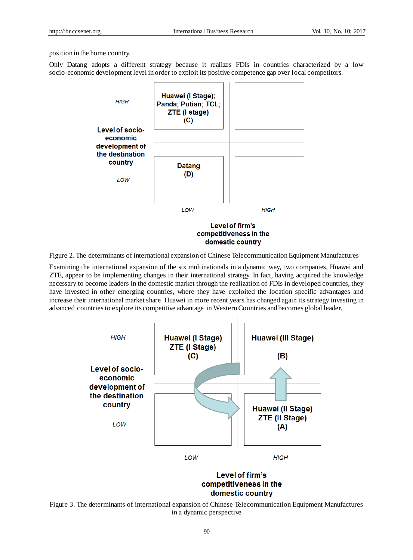position in the home country.

Only Datang adopts a different strategy because it realizes FDIs in countries characterized by a low socio-economic development level in order to exploit its positive competence gap over local competitors.



Figure 2. The determinants of international expansion of Chinese Telecommunication Equipment Manufactures

Examining the international expansion of the six multinationals in a dynamic way, two companies, Huawei and ZTE, appear to be implementing changes in their international strategy. In fact, having acquired the knowledge necessary to become leaders in the domestic market through the realization of FDIs in developed countries, they have invested in other emerging countries, where they have exploited the location specific advantages and increase their international market share. Huawei in more recent years has changed again its strategy investing in advanced countries to explore its competitive advantage in Western Countries and becomes global leader.



Level of firm's competitiveness in the domestic country

Figure 3. The determinants of international expansion of Chinese Telecommunication Equipment Manufactures in a dynamic perspective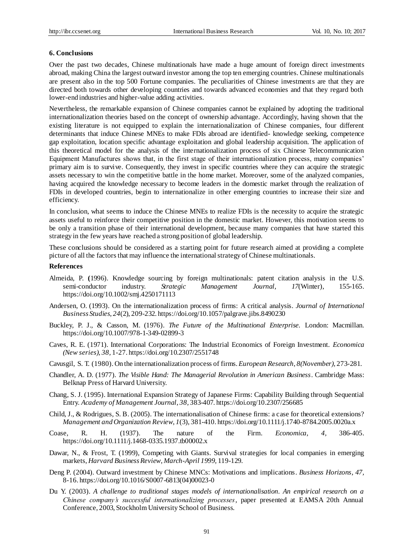### **6. Conclusions**

Over the past two decades, Chinese multinationals have made a huge amount of foreign direct investments abroad, making China the largest outward investor among the top ten emerging countries. Chinese multinationals are present also in the top 500 Fortune companies. The peculiarities of Chinese investments are that they are directed both towards other developing countries and towards advanced economies and that they regard both lower-end industries and higher-value adding activities.

Nevertheless, the remarkable expansion of Chinese companies cannot be explained by adopting the traditional internationalization theories based on the concept of ownership advantage. Accordingly, having shown that the existing literature is not equipped to explain the internationalization of Chinese companies, four different determinants that induce Chinese MNEs to make FDIs abroad are identified- knowledge seeking, competence gap exploitation, location specific advantage exploitation and global leadership acquisition. The application of this theoretical model for the analysis of the internationalization process of six Chinese Telecommunication Equipment Manufactures shows that, in the first stage of their internationalization process, many companies' primary aim is to survive. Consequently, they invest in specific countries where they can acquire the strategic assets necessary to win the competitive battle in the home market. Moreover, some of the analyzed companies, having acquired the knowledge necessary to become leaders in the domestic market through the realization of FDIs in developed countries, begin to internationalize in other emerging countries to increase their size and efficiency.

In conclusion, what seems to induce the Chinese MNEs to realize FDIs is the necessity to acquire the strategic assets useful to reinforce their competitive position in the domestic market. However, this motivation seems to be only a transition phase of their international development, because many companies that have started this strategy in the few years have reached a strong position of global leadership.

These conclusions should be considered as a starting point for future research aimed at providing a complete picture of all the factors that may influence the international strategy of Chinese multinationals.

### **References**

- Almeida, P. **(**1996). Knowledge sourcing by foreign multinationals: patent citation analysis in the U.S. semi-conductor industry. *Strategic Management Journal, 17*(Winter), 155-165. https://doi.org/10.1002/smj.4250171113
- Andersen, O. (1993). On the internationalization process of firms: A critical analysis. *Journal of International Business Studies*, *24*(2), 209-232. https://doi.org/10.1057/palgrave.jibs.8490230
- Buckley, P. J., & Casson, M. (1976). *The Future of the Multinational Enterprise.* London: Macmillan. https://doi.org/10.1007/978-1-349-02899-3
- Caves, R. E. (1971). International Corporations: The Industrial Economics of Foreign Investment. *Economica (New series), 38,* 1-27. https://doi.org/10.2307/2551748
- Cavusgil, S. T. (1980). On the internationalization process of firms. *European Research*, *8(November),* 273-281.
- Chandler, A. D. (1977). *The Visible Hand: The Managerial Revolution in American Business*. Cambridge Mass: Belknap Press of Harvard University.
- Chang, S. J. (1995). International Expansion Strategy of Japanese Firms: Capability Building through Sequential Entry. *Academy of Management Journal*, *38,* 383-407. https://doi.org/10.2307/256685
- Child, J., & Rodrigues, S. B. (2005). The internationalisation of Chinese firms: a case for theoretical extensions? *Management and Organization Review*, *1*(3), 381-410. https://doi.org/10.1111/j.1740-8784.2005.0020a.x
- Coase, R. H. (1937). The nature of the Firm. *Economica*, *4,* 386-405. https://doi.org/10.1111/j.1468-0335.1937.tb00002.x
- Dawar, N., & Frost, T. (1999), Competing with Giants. Survival strategies for local companies in emerging markets, *Harvard Business Review*, *March-April 1999,* 119-129.
- Deng P. (2004). Outward investment by Chinese MNCs: Motivations and implications. *Business Horizons*, *47,*  8-16. https://doi.org/10.1016/S0007-6813(04)00023-0
- Du Y. (2003). *A challenge to traditional stages models of internationalisation. An empirical research on a Chinese company's successful internationalizing processes*, paper presented at EAMSA 20th Annual Conference, 2003, Stockholm University School of Business.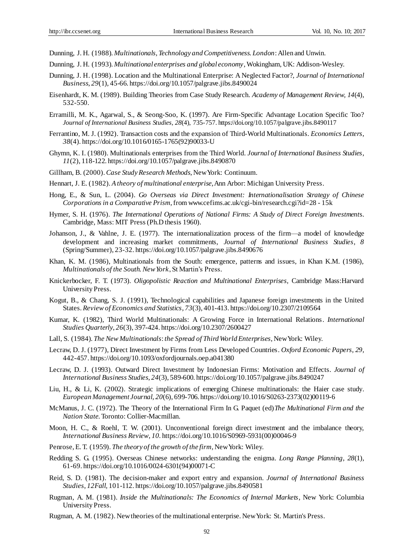Dunning, J. H. (1988). *Multinationals, Technology and Competitiveness. London*: Allen and Unwin.

- Dunning, J. H. (1993). *Multinational enterprises and global economy*, Wokingham, UK: Addison-Wesley.
- Dunning, J. H. (1998). Location and the Multinational Enterprise: A Neglected Factor?, *Journal of International Business*, *29*(1), 45-66. https://doi.org/10.1057/palgrave.jibs.8490024
- Eisenhardt, K. M. (1989). Building Theories from Case Study Research. *Academy of Management Review, 14*(4), 532-550.
- Erramilli, M. K., Agarwal, S., & Seong-Soo, K. (1997). Are Firm-Specific Advantage Location Specific Too? *Journal of International Business Studies*, *28*(4), 735-757. https://doi.org/10.1057/palgrave.jibs.8490117
- Ferrantino, M. J. (1992). Transaction costs and the expansion of Third-World Multinationals. *Economics Letters*, *38*(4). https://doi.org/10.1016/0165-1765(92)90033-U
- Ghymn, K. I. (1980). Multinationals enterprises from the Third World. *Journal of International Business Studies*, *11*(2), 118-122. https://doi.org/10.1057/palgrave.jibs.8490870
- Gillham, B. (2000).*Case Study Research Methods*, New York: Continuum.
- Hennart, J. E. (1982). *A theory of multinational enterprise*, Ann Arbor: Michigan University Press.
- Hong, E., & Sun, L. (2004). *Go Overseas via Direct Investment: Internationalisation Strategy of Chinese Corporations in a Comparative Prism*, from www.cefims.ac.uk/cgi-bin/research.cgi?id=28 - 15k
- Hymer, S. H. (1976). *The International Operations of National Firms: A Study of Direct Foreign Investment*s. Cambridge, Mass: MIT Press (Ph.D thesis 1960).
- Johanson, J., & Vahlne, J. E. (1977). The internationalization process of the firm—a model of knowledge development and increasing market commitments, *Journal of International Business Studies*, *8* (Spring/Summer), 23-32. https://doi.org/10.1057/palgrave.jibs.8490676
- Khan, K. M. (1986), Multinationals from the South: emergence, patterns and issues, in Khan K.M. (1986), *Multinationals of the South. New York*, St Martin's Press.
- Knickerbocker, F. T. (1973)*. Oligopolistic Reaction and Multinational Enterprises,* Cambridge Mass:Harvard University Press.
- Kogut, B., & Chang, S. J. (1991), Technological capabilities and Japanese foreign investments in the United States. *Review of Economics and Statistics*, *73*(3), 401-413. https://doi.org/10.2307/2109564
- Kumar, K. (1982), Third World Multinationals: A Growing Force in International Relations. *International Studies Quarterly*, *26*(3), 397-424. https://doi.org/10.2307/2600427
- Lall, S. (1984). *The New Multinationals*: *the Spread of Third World Enterprises*, New York: Wiley.
- Lecraw, D. J. (1977), Direct Investment by Firms from Less Developed Countries. *Oxford Economic Papers*, *29,*  442-457. https://doi.org/10.1093/oxfordjournals.oep.a041380
- Lecraw, D. J. (1993). Outward Direct Investment by Indonesian Firms: Motivation and Effects. *Journal of International Business Studies*, *24*(3), 589-600. https://doi.org/10.1057/palgrave.jibs.8490247
- Liu, H., & Li, K. (2002). Strategic implications of emerging Chinese multinationals: the Haier case study. *European Management Journal*, *20*(6), 699-706. https://doi.org/10.1016/S0263-2373(02)00119-6
- McManus, J. C. (1972). The Theory of the International Firm In G. Paquet (ed)*The Multinational Firm and the Nation State*. Toronto: Collier-Macmillan.
- Moon, H. C., & Roehl, T. W. (2001). Unconventional foreign direct investment and the imbalance theory, *International Business Review*, *10.* https://doi.org/10.1016/S0969-5931(00)00046-9
- Penrose, E. T. (1959). *The theory of the growth of the firm*, New York: Wiley.
- Redding S. G. (1995). Overseas Chinese networks: understanding the enigma. *Long Range Planning*, *28*(1), 61-69. https://doi.org/10.1016/0024-6301(94)00071-C
- Reid, S. D. (1981). The decision-maker and export entry and expansion. *Journal of International Business Studies*, *12Fall,* 101-112. https://doi.org/10.1057/palgrave.jibs.8490581
- Rugman, A. M. (1981). *Inside the Multinationals: The Economics of Internal Markets*, New York: Columbia University Press.
- Rugman, A. M. (1982). New theories of the multinational enterprise. New York: St. Martin's Press.